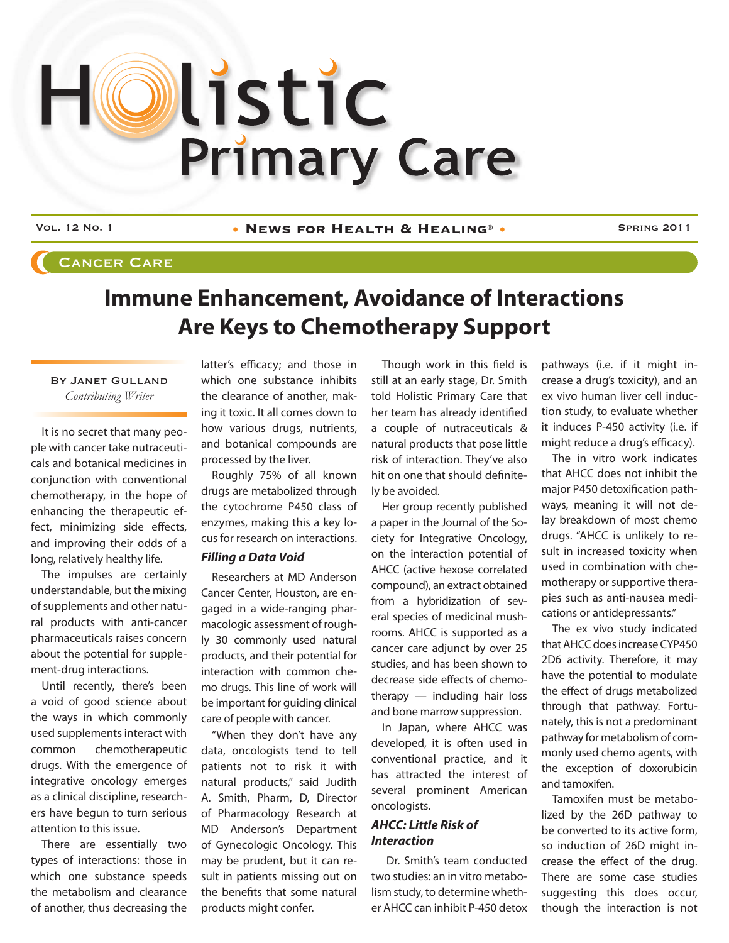# Olistic **Primary Care**

Vol. 12 No. 1 • **News for Health & Healing**® • Spring 2011

## Cancer Care

# **Immune Enhancement, Avoidance of Interactions Are Keys to Chemotherapy Support**

#### By Janet Gulland *Contributing Writer*

It is no secret that many people with cancer take nutraceuticals and botanical medicines in conjunction with conventional chemotherapy, in the hope of enhancing the therapeutic effect, minimizing side effects, and improving their odds of a long, relatively healthy life.

The impulses are certainly understandable, but the mixing of supplements and other natural products with anti-cancer pharmaceuticals raises concern about the potential for supplement-drug interactions.

Until recently, there's been a void of good science about the ways in which commonly used supplements interact with common chemotherapeutic drugs. With the emergence of integrative oncology emerges as a clinical discipline, researchers have begun to turn serious attention to this issue.

There are essentially two types of interactions: those in which one substance speeds the metabolism and clearance of another, thus decreasing the

latter's efficacy; and those in which one substance inhibits the clearance of another, making it toxic. It all comes down to how various drugs, nutrients, and botanical compounds are processed by the liver.

Roughly 75% of all known drugs are metabolized through the cytochrome P450 class of enzymes, making this a key locus for research on interactions.

#### *Filling a Data Void*

Researchers at MD Anderson Cancer Center, Houston, are engaged in a wide-ranging pharmacologic assessment of roughly 30 commonly used natural products, and their potential for interaction with common chemo drugs. This line of work will be important for guiding clinical care of people with cancer.

"When they don't have any data, oncologists tend to tell patients not to risk it with natural products," said Judith A. Smith, Pharm, D, Director of Pharmacology Research at MD Anderson's Department of Gynecologic Oncology. This may be prudent, but it can result in patients missing out on the benefits that some natural products might confer.

Though work in this field is still at an early stage, Dr. Smith told Holistic Primary Care that her team has already identified a couple of nutraceuticals & natural products that pose little risk of interaction. They've also hit on one that should definitely be avoided.

Her group recently published a paper in the Journal of the Society for Integrative Oncology, on the interaction potential of AHCC (active hexose correlated compound), an extract obtained from a hybridization of several species of medicinal mushrooms. AHCC is supported as a cancer care adjunct by over 25 studies, and has been shown to decrease side effects of chemotherapy — including hair loss and bone marrow suppression.

In Japan, where AHCC was developed, it is often used in conventional practice, and it has attracted the interest of several prominent American oncologists.

#### *AHCC: Little Risk of Interaction*

 Dr. Smith's team conducted two studies: an in vitro metabolism study, to determine whether AHCC can inhibit P-450 detox

pathways (i.e. if it might increase a drug's toxicity), and an ex vivo human liver cell induction study, to evaluate whether it induces P-450 activity (i.e. if might reduce a drug's efficacy).

The in vitro work indicates that AHCC does not inhibit the major P450 detoxification pathways, meaning it will not delay breakdown of most chemo drugs. "AHCC is unlikely to result in increased toxicity when used in combination with chemotherapy or supportive therapies such as anti-nausea medications or antidepressants."

The ex vivo study indicated that AHCC does increase CYP450 2D6 activity. Therefore, it may have the potential to modulate the effect of drugs metabolized through that pathway. Fortunately, this is not a predominant pathway for metabolism of commonly used chemo agents, with the exception of doxorubicin and tamoxifen.

Tamoxifen must be metabolized by the 26D pathway to be converted to its active form, so induction of 26D might increase the effect of the drug. There are some case studies suggesting this does occur. though the interaction is not